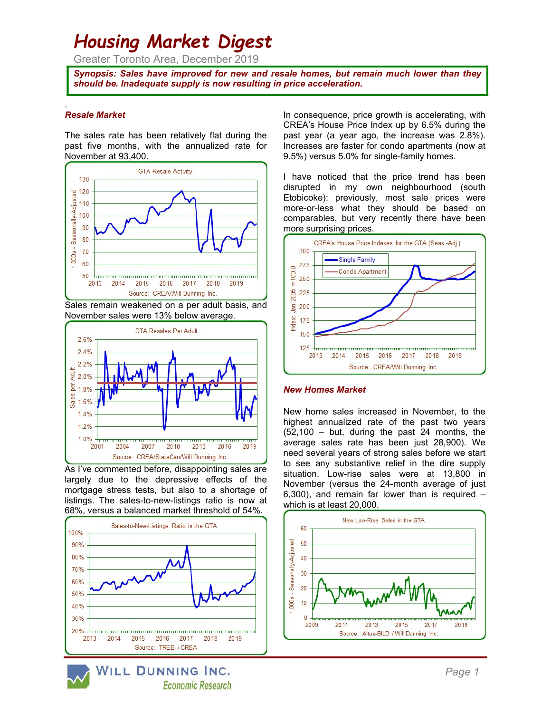# Housing Market Digest

Greater Toronto Area, December 2019

Synopsis: Sales have improved for new and resale homes, but remain much lower than they should be. Inadequate supply is now resulting in price acceleration.

## Resale Market

.

The sales rate has been relatively flat during the past five months, with the annualized rate for November at 93,400.



Sales remain weakened on a per adult basis, and November sales were 13% below average.



As I've commented before, disappointing sales are largely due to the depressive effects of the mortgage stress tests, but also to a shortage of listings. The sales-to-new-listings ratio is now at 68%, versus a balanced market threshold of 54%.



In consequence, price growth is accelerating, with CREA's House Price Index up by 6.5% during the past year (a year ago, the increase was 2.8%). Increases are faster for condo apartments (now at 9.5%) versus 5.0% for single-family homes.

I have noticed that the price trend has been disrupted in my own neighbourhood (south Etobicoke): previously, most sale prices were more-or-less what they should be based on comparables, but very recently there have been more surprising prices.



#### New Homes Market

New home sales increased in November, to the highest annualized rate of the past two years (52,100 – but, during the past 24 months, the average sales rate has been just 28,900). We need several years of strong sales before we start to see any substantive relief in the dire supply situation. Low-rise sales were at 13,800 in November (versus the 24-month average of just 6,300), and remain far lower than is required – which is at least 20,000.